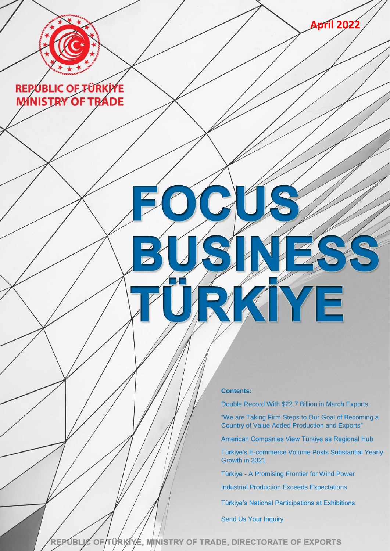

**Contents:**

[Double Record With \\$22.7 Billion in March Exports](#page-1-0)

KIYE

["We are Taking Firm Steps to Our Goal of Becoming a](#page-1-1)  [Country of Value Added Production and Exports"](#page-1-1)

**April 2022**

[American Companies View Türkiye as Regional Hub](#page-1-2)

[Türkiye's E-commerce Volume Posts Substantial Yearly](#page-3-0)  [Growth in 2021](#page-3-0)

Türkiye - [A Promising Frontier for Wind Power](#page-3-1)

[Industrial Production Exceeds Expectations](#page-4-0)

[Türkiye's National Participations at Exhibitions](#page-5-0)

[Send Us Your Inquiry](#page-5-1)

REPUBLIC OF TÜRKIYE, MINISTRY OF TRADE, DIRECTORATE OF EXPORTS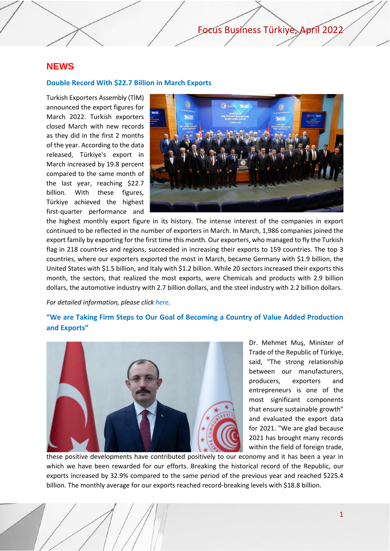## **NEWS**

### <span id="page-1-0"></span>**Double Record With \$22.7 Billion in March Exports**

Turkish Exporters Assembly (TİM) announced the export figures for March 2022. Turkish exporters closed March with new records as they did in the first 2 months of the year. According to the data released, Türkiye's export in March increased by 19.8 percent compared to the same month of the last year, reaching \$22.7 billion. With these figures, Türkiye achieved the highest first-quarter performance and



the highest monthly export figure in its history. The intense interest of the companies in export continued to be reflected in the number of exporters in March. In March, 1,986 companies joined the export family by exporting for the first time this month. Our exporters, who managed to fly the Turkish flag in 218 countries and regions, succeeded in increasing their exports to 159 countries. The top 3 countries, where our exporters exported the most in March, became Germany with \$1.9 billion, the United States with \$1.5 billion, and Italy with \$1.2 billion. While 20 sectors increased their exports this month, the sectors, that realized the most exports, were Chemicals and products with 2.9 billion dollars, the automotive industry with 2.7 billion dollars, and the steel industry with 2.2 billion dollars.

#### *For detailed information, please clic[k here.](https://tim.org.tr/en/news-double-record-with-227-billion-in-march-exports)*

## <span id="page-1-2"></span><span id="page-1-1"></span>**"We are Taking Firm Steps to Our Goal of Becoming a Country of Value Added Production and Exports"**



Dr. Mehmet Muş, Minister of Trade of the Republic of Türkiye, said, "The strong relationship between our manufacturers, producers, exporters and entrepreneurs is one of the most significant components that ensure sustainable growth" and evaluated the export data for 2021. "We are glad because 2021 has brought many records within the field of foreign trade,

these positive developments have contributed positively to our economy and it has been a year in which we have been rewarded for our efforts. Breaking the historical record of the Republic, our exports increased by 32.9% compared to the same period of the previous year and reached \$225.4 billion. The monthly average for our exports reached record-breaking levels with \$18.8 billion.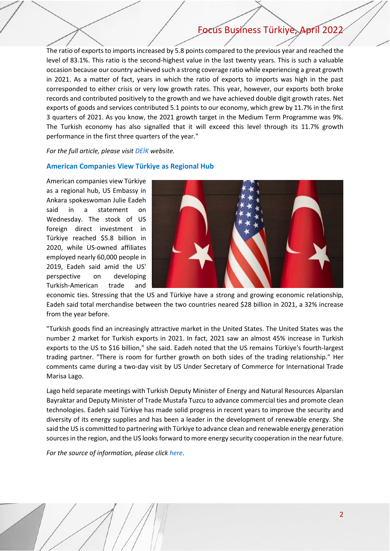The ratio of exports to imports increased by 5.8 points compared to the previous year and reached the level of 83.1%. This ratio is the second-highest value in the last twenty years. This is such a valuable occasion because our country achieved such a strong coverage ratio while experiencing a great growth in 2021. As a matter of fact, years in which the ratio of exports to imports was high in the past corresponded to either crisis or very low growth rates. This year, however, our exports both broke records and contributed positively to the growth and we have achieved double digit growth rates. Net exports of goods and services contributed 5.1 points to our economy, which grew by 11.7% in the first 3 quarters of 2021. As you know, the 2021 growth target in the Medium Term Programme was 9%. The Turkish economy has also signalled that it will exceed this level through its 11.7% growth performance in the first three quarters of the year."

### *For the full article, please visit [DEİK](https://businessdiplomacy.net/mags/16/#page/41) website.*

### **American Companies View Türkiye as Regional Hub**

American companies view Türkiye as a regional hub, US Embassy in Ankara spokeswoman Julie Eadeh said in a statement on Wednesday. The stock of US foreign direct investment in Türkiye reached \$5.8 billion in 2020, while US-owned affiliates employed nearly 60,000 people in 2019, Eadeh said amid the US' perspective on developing Turkish-American trade and



economic ties. Stressing that the US and Türkiye have a strong and growing economic relationship, Eadeh said total merchandise between the two countries neared \$28 billion in 2021, a 32% increase from the year before.

"Turkish goods find an increasingly attractive market in the United States. The United States was the number 2 market for Turkish exports in 2021. In fact, 2021 saw an almost 45% increase in Turkish exports to the US to \$16 billion," she said. Eadeh noted that the US remains Türkiye's fourth-largest trading partner. "There is room for further growth on both sides of the trading relationship." Her comments came during a two-day visit by US Under Secretary of Commerce for International Trade Marisa Lago.

Lago held separate meetings with Turkish Deputy Minister of Energy and Natural Resources Alparslan Bayraktar and Deputy Minister of Trade Mustafa Tuzcu to advance commercial ties and promote clean technologies. Eadeh said Türkiye has made solid progress in recent years to improve the security and diversity of its energy supplies and has been a leader in the development of renewable energy. She said the US is committed to partnering with Türkiye to advance clean and renewable energy generation sources in the region, and the US looks forward to more energy security cooperation in the near future.

*For the source of information, please click [here.](https://www.aa.com.tr/en/economy/american-companies-view-turkiye-as-regional-hub-us-official-says/2557113)*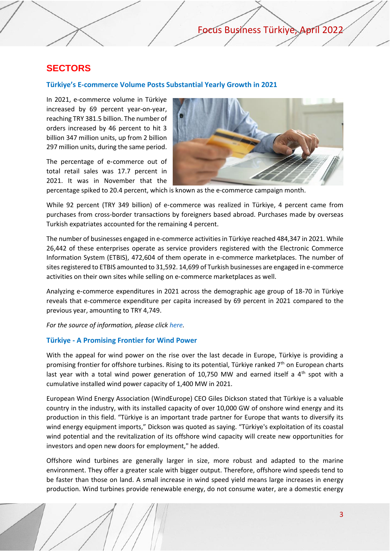## **SECTORS**

### <span id="page-3-0"></span>**Türkiye's E-commerce Volume Posts Substantial Yearly Growth in 2021**

In 2021, e-commerce volume in Türkiye increased by 69 percent year-on-year, reaching TRY 381.5 billion. The number of orders increased by 46 percent to hit 3 billion 347 million units, up from 2 billion 297 million units, during the same period.

The percentage of e-commerce out of total retail sales was 17.7 percent in 2021. It was in November that the



percentage spiked to 20.4 percent, which is known as the e-commerce campaign month.

While 92 percent (TRY 349 billion) of e-commerce was realized in Türkiye, 4 percent came from purchases from cross-border transactions by foreigners based abroad. Purchases made by overseas Turkish expatriates accounted for the remaining 4 percent.

The number of businesses engaged in e-commerce activities in Türkiye reached 484,347 in 2021. While 26,442 of these enterprises operate as service providers registered with the Electronic Commerce Information System (ETBIS), 472,604 of them operate in e-commerce marketplaces. The number of sites registered to ETBIS amounted to 31,592. 14,699 of Turkish businesses are engaged in e-commerce activities on their own sites while selling on e‑commerce marketplaces as well.

Analyzing e‑commerce expenditures in 2021 across the demographic age group of 18-70 in Türkiye reveals that e-commerce expenditure per capita increased by 69 percent in 2021 compared to the previous year, amounting to TRY 4,749.

*For the source of information, please click [here.](https://www.invest.gov.tr/en/news/news-from-turkey/pages/turkiyes-e-commerce-volume-posts-substantial-yearly-growth-in-2021.aspx)* 

### <span id="page-3-1"></span>**Türkiye - A Promising Frontier for Wind Power**

With the appeal for wind power on the rise over the last decade in Europe, Türkiye is providing a promising frontier for offshore turbines. Rising to its potential, Türkiye ranked  $7<sup>th</sup>$  on European charts last year with a total wind power generation of 10,750 MW and earned itself a  $4<sup>th</sup>$  spot with a cumulative installed wind power capacity of 1,400 MW in 2021.

European Wind Energy Association (WindEurope) CEO Giles Dickson stated that Türkiye is a valuable country in the industry, with its installed capacity of over 10,000 GW of onshore wind energy and its production in this field. "Türkiye is an important trade partner for Europe that wants to diversify its wind energy equipment imports," Dickson was quoted as saying. "Türkiye's exploitation of its coastal wind potential and the revitalization of its offshore wind capacity will create new opportunities for investors and open new doors for employment," he added.

Offshore wind turbines are generally larger in size, more robust and adapted to the marine environment. They offer a greater scale with bigger output. Therefore, offshore wind speeds tend to be faster than those on land. A small increase in wind speed yield means large increases in energy production. Wind turbines provide renewable energy, do not consume water, are a domestic energy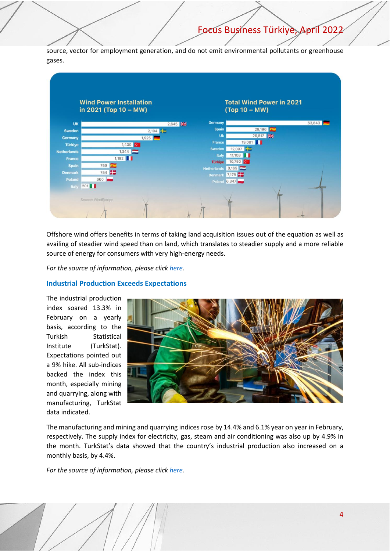source, vector for employment generation, and do not emit environmental pollutants or greenhouse gases.



Offshore wind offers benefits in terms of taking land acquisition issues out of the equation as well as availing of steadier wind speed than on land, which translates to steadier supply and a more reliable source of energy for consumers with very high-energy needs.

*For the source of information, please click [here.](https://www.invest.gov.tr/en/news/newsletters/lists/investnewsletter/investment-office-apr-2022-newsletter.pdf#page=4)*

### <span id="page-4-0"></span>**Industrial Production Exceeds Expectations**

The industrial production index soared 13.3% in February on a yearly basis, according to the Turkish Statistical Institute (TurkStat). Expectations pointed out a 9% hike. All sub-indices backed the index this month, especially mining and quarrying, along with manufacturing, TurkStat data indicated.



The manufacturing and mining and quarrying indices rose by 14.4% and 6.1% year on year in February, respectively. The supply index for electricity, gas, steam and air conditioning was also up by 4.9% in the month. TurkStat's data showed that the country's industrial production also increased on a monthly basis, by 4.4%.

*For the source of information, please click [here.](https://www.trmonitor.net/industrial-production-exceeds-expectations/)*